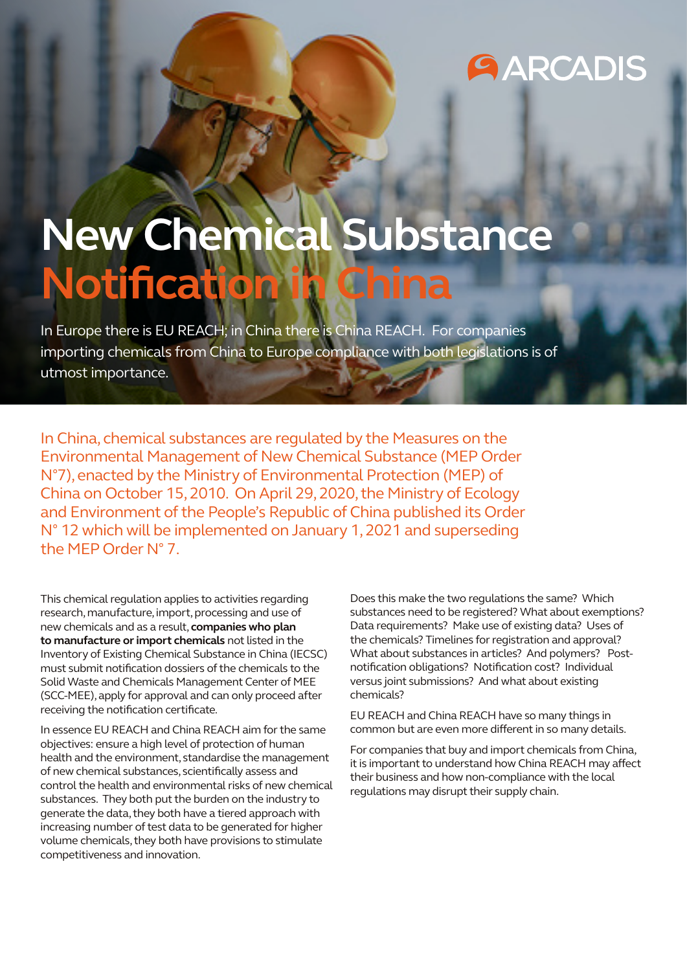## **GARCADIS**

# **New Chemical Substance Notification**

In Europe there is EU REACH; in China there is China REACH. For companies importing chemicals from China to Europe compliance with both legislations is of utmost importance.

In China, chemical substances are regulated by the Measures on the Environmental Management of New Chemical Substance (MEP Order N°7), enacted by the Ministry of Environmental Protection (MEP) of China on October 15, 2010. On April 29, 2020, the Ministry of Ecology and Environment of the People's Republic of China published its Order N° 12 which will be implemented on January 1, 2021 and superseding the MEP Order N° 7.

This chemical regulation applies to activities regarding research, manufacture, import, processing and use of new chemicals and as a result, **companies who plan to manufacture or import chemicals** not listed in the Inventory of Existing Chemical Substance in China (IECSC) must submit notification dossiers of the chemicals to the Solid Waste and Chemicals Management Center of MEE (SCC-MEE), apply for approval and can only proceed after receiving the notification certificate.

In essence EU REACH and China REACH aim for the same objectives: ensure a high level of protection of human health and the environment, standardise the management of new chemical substances, scientifically assess and control the health and environmental risks of new chemical substances. They both put the burden on the industry to generate the data, they both have a tiered approach with increasing number of test data to be generated for higher volume chemicals, they both have provisions to stimulate competitiveness and innovation.

Does this make the two regulations the same? Which substances need to be registered? What about exemptions? Data requirements? Make use of existing data? Uses of the chemicals? Timelines for registration and approval? What about substances in articles? And polymers? Postnotification obligations? Notification cost? Individual versus joint submissions? And what about existing chemicals?

EU REACH and China REACH have so many things in common but are even more different in so many details.

For companies that buy and import chemicals from China, it is important to understand how China REACH may affect their business and how non-compliance with the local regulations may disrupt their supply chain.